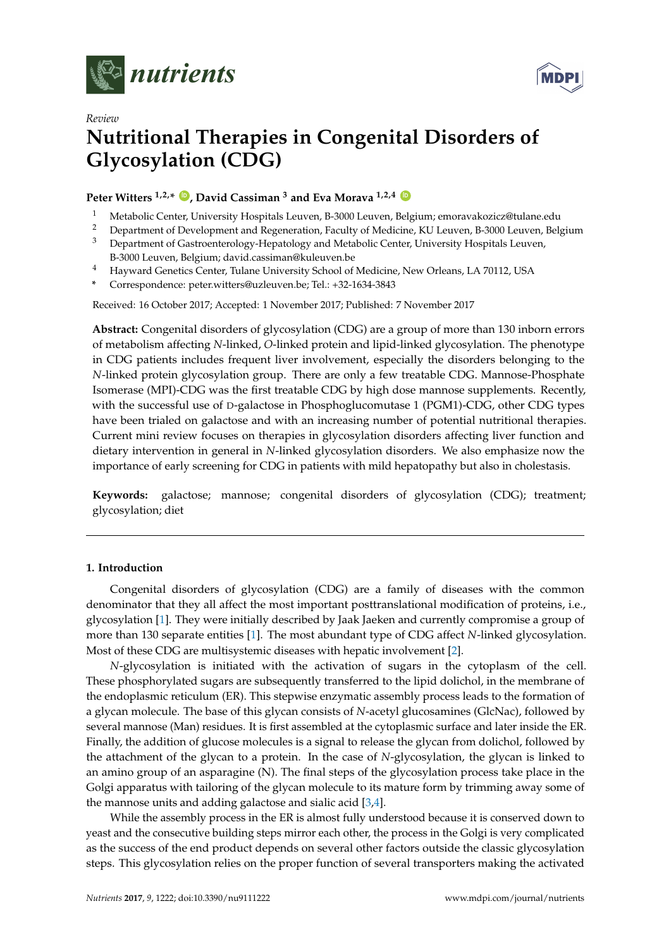



# *Review* **Nutritional Therapies in Congenital Disorders of Glycosylation (CDG)**

## **Peter Witters**  $1,2,*$  **D**, David Cassiman<sup>3</sup> and Eva Morava  $1,2,4$  **D**

- <sup>1</sup> Metabolic Center, University Hospitals Leuven, B-3000 Leuven, Belgium; emoravakozicz@tulane.edu
- <sup>2</sup> Department of Development and Regeneration, Faculty of Medicine, KU Leuven, B-3000 Leuven, Belgium <sup>3</sup> Department of Castroonteralogy Hopptology and Metabolic Center University Hospitals Leuven
- <sup>3</sup> Department of Gastroenterology-Hepatology and Metabolic Center, University Hospitals Leuven, B-3000 Leuven, Belgium; david.cassiman@kuleuven.be
- <sup>4</sup> Hayward Genetics Center, Tulane University School of Medicine, New Orleans, LA 70112, USA
- **\*** Correspondence: peter.witters@uzleuven.be; Tel.: +32-1634-3843

Received: 16 October 2017; Accepted: 1 November 2017; Published: 7 November 2017

**Abstract:** Congenital disorders of glycosylation (CDG) are a group of more than 130 inborn errors of metabolism affecting *N*-linked, *O*-linked protein and lipid-linked glycosylation. The phenotype in CDG patients includes frequent liver involvement, especially the disorders belonging to the *N*-linked protein glycosylation group. There are only a few treatable CDG. Mannose-Phosphate Isomerase (MPI)-CDG was the first treatable CDG by high dose mannose supplements. Recently, with the successful use of D-galactose in Phosphoglucomutase 1 (PGM1)-CDG, other CDG types have been trialed on galactose and with an increasing number of potential nutritional therapies. Current mini review focuses on therapies in glycosylation disorders affecting liver function and dietary intervention in general in *N*-linked glycosylation disorders. We also emphasize now the importance of early screening for CDG in patients with mild hepatopathy but also in cholestasis.

**Keywords:** galactose; mannose; congenital disorders of glycosylation (CDG); treatment; glycosylation; diet

## **1. Introduction**

Congenital disorders of glycosylation (CDG) are a family of diseases with the common denominator that they all affect the most important posttranslational modification of proteins, i.e., glycosylation [\[1\]](#page-7-0). They were initially described by Jaak Jaeken and currently compromise a group of more than 130 separate entities [\[1\]](#page-7-0). The most abundant type of CDG affect *N*-linked glycosylation. Most of these CDG are multisystemic diseases with hepatic involvement [\[2\]](#page-7-1).

*N*-glycosylation is initiated with the activation of sugars in the cytoplasm of the cell. These phosphorylated sugars are subsequently transferred to the lipid dolichol, in the membrane of the endoplasmic reticulum (ER). This stepwise enzymatic assembly process leads to the formation of a glycan molecule. The base of this glycan consists of *N*-acetyl glucosamines (GlcNac), followed by several mannose (Man) residues. It is first assembled at the cytoplasmic surface and later inside the ER. Finally, the addition of glucose molecules is a signal to release the glycan from dolichol, followed by the attachment of the glycan to a protein. In the case of *N*-glycosylation, the glycan is linked to an amino group of an asparagine (N). The final steps of the glycosylation process take place in the Golgi apparatus with tailoring of the glycan molecule to its mature form by trimming away some of the mannose units and adding galactose and sialic acid [\[3](#page-7-2)[,4\]](#page-7-3).

While the assembly process in the ER is almost fully understood because it is conserved down to yeast and the consecutive building steps mirror each other, the process in the Golgi is very complicated as the success of the end product depends on several other factors outside the classic glycosylation steps. This glycosylation relies on the proper function of several transporters making the activated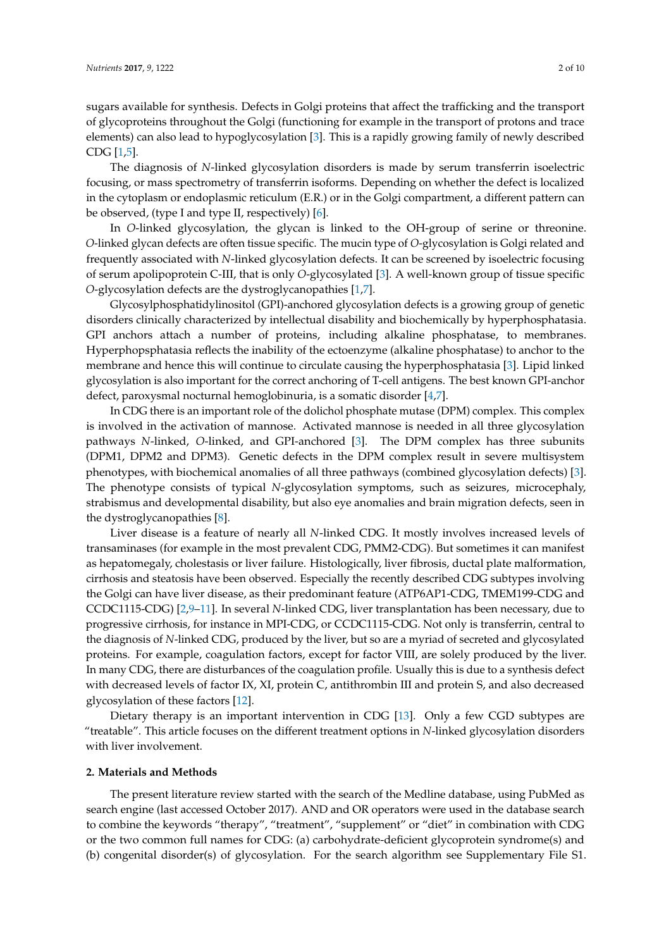sugars available for synthesis. Defects in Golgi proteins that affect the trafficking and the transport of glycoproteins throughout the Golgi (functioning for example in the transport of protons and trace elements) can also lead to hypoglycosylation [\[3\]](#page-7-2). This is a rapidly growing family of newly described CDG [\[1,](#page-7-0)[5\]](#page-7-4).

The diagnosis of *N*-linked glycosylation disorders is made by serum transferrin isoelectric focusing, or mass spectrometry of transferrin isoforms. Depending on whether the defect is localized in the cytoplasm or endoplasmic reticulum (E.R.) or in the Golgi compartment, a different pattern can be observed, (type I and type II, respectively) [\[6\]](#page-7-5).

In *O*-linked glycosylation, the glycan is linked to the OH-group of serine or threonine. *O*-linked glycan defects are often tissue specific. The mucin type of *O*-glycosylation is Golgi related and frequently associated with *N*-linked glycosylation defects. It can be screened by isoelectric focusing of serum apolipoprotein C-III, that is only *O*-glycosylated [\[3\]](#page-7-2). A well-known group of tissue specific *O*-glycosylation defects are the dystroglycanopathies [\[1](#page-7-0)[,7\]](#page-7-6).

Glycosylphosphatidylinositol (GPI)-anchored glycosylation defects is a growing group of genetic disorders clinically characterized by intellectual disability and biochemically by hyperphosphatasia. GPI anchors attach a number of proteins, including alkaline phosphatase, to membranes. Hyperphopsphatasia reflects the inability of the ectoenzyme (alkaline phosphatase) to anchor to the membrane and hence this will continue to circulate causing the hyperphosphatasia [\[3\]](#page-7-2). Lipid linked glycosylation is also important for the correct anchoring of T-cell antigens. The best known GPI-anchor defect, paroxysmal nocturnal hemoglobinuria, is a somatic disorder [\[4,](#page-7-3)[7\]](#page-7-6).

In CDG there is an important role of the dolichol phosphate mutase (DPM) complex. This complex is involved in the activation of mannose. Activated mannose is needed in all three glycosylation pathways *N*-linked, *O*-linked, and GPI-anchored [\[3\]](#page-7-2). The DPM complex has three subunits (DPM1, DPM2 and DPM3). Genetic defects in the DPM complex result in severe multisystem phenotypes, with biochemical anomalies of all three pathways (combined glycosylation defects) [\[3\]](#page-7-2). The phenotype consists of typical *N*-glycosylation symptoms, such as seizures, microcephaly, strabismus and developmental disability, but also eye anomalies and brain migration defects, seen in the dystroglycanopathies [\[8\]](#page-7-7).

Liver disease is a feature of nearly all *N*-linked CDG. It mostly involves increased levels of transaminases (for example in the most prevalent CDG, PMM2-CDG). But sometimes it can manifest as hepatomegaly, cholestasis or liver failure. Histologically, liver fibrosis, ductal plate malformation, cirrhosis and steatosis have been observed. Especially the recently described CDG subtypes involving the Golgi can have liver disease, as their predominant feature (ATP6AP1-CDG, TMEM199-CDG and CCDC1115-CDG) [\[2,](#page-7-1)[9–](#page-7-8)[11\]](#page-7-9). In several *N*-linked CDG, liver transplantation has been necessary, due to progressive cirrhosis, for instance in MPI-CDG, or CCDC1115-CDG. Not only is transferrin, central to the diagnosis of *N*-linked CDG, produced by the liver, but so are a myriad of secreted and glycosylated proteins. For example, coagulation factors, except for factor VIII, are solely produced by the liver. In many CDG, there are disturbances of the coagulation profile. Usually this is due to a synthesis defect with decreased levels of factor IX, XI, protein C, antithrombin III and protein S, and also decreased glycosylation of these factors [\[12\]](#page-7-10).

Dietary therapy is an important intervention in CDG [\[13\]](#page-7-11). Only a few CGD subtypes are "treatable". This article focuses on the different treatment options in *N*-linked glycosylation disorders with liver involvement.

#### **2. Materials and Methods**

The present literature review started with the search of the Medline database, using PubMed as search engine (last accessed October 2017). AND and OR operators were used in the database search to combine the keywords "therapy", "treatment", "supplement" or "diet" in combination with CDG or the two common full names for CDG: (a) carbohydrate-deficient glycoprotein syndrome(s) and (b) congenital disorder(s) of glycosylation. For the search algorithm see Supplementary File S1.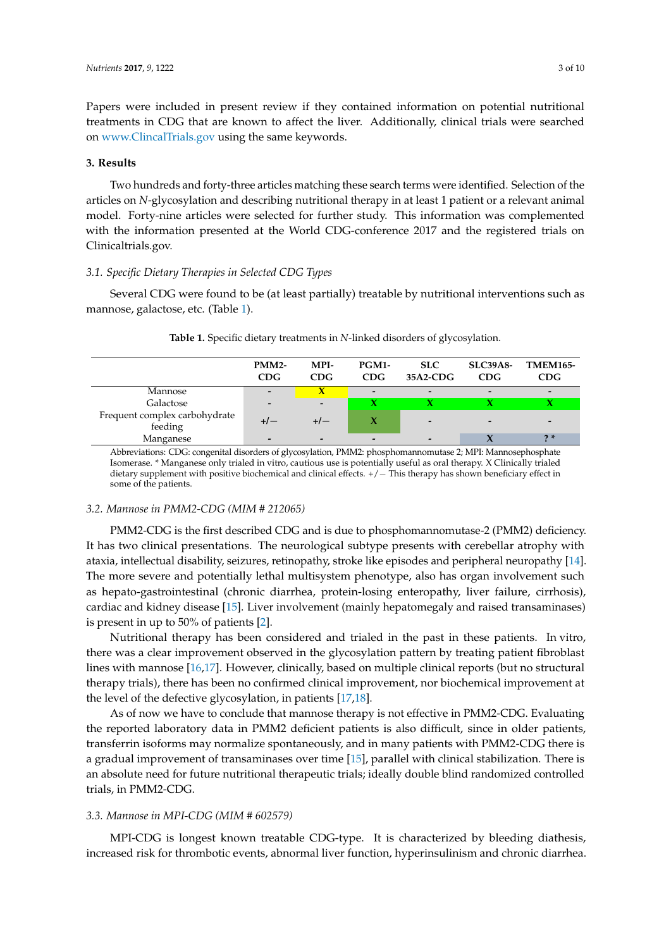Papers were included in present review if they contained information on potential nutritional treatments in CDG that are known to affect the liver. Additionally, clinical trials were searched on <www.ClincalTrials.gov> using the same keywords.

#### **3. Results**

Two hundreds and forty-three articles matching these search terms were identified. Selection of the articles on *N*-glycosylation and describing nutritional therapy in at least 1 patient or a relevant animal model. Forty-nine articles were selected for further study. This information was complemented with the information presented at the World CDG-conference 2017 and the registered trials on Clinicaltrials.gov.

## *3.1. Specific Dietary Therapies in Selected CDG Types*

<span id="page-2-0"></span>Several CDG were found to be (at least partially) treatable by nutritional interventions such as mannose, galactose, etc. (Table [1\)](#page-2-0).

|                                          | <b>PMM2-</b><br>CDG      | MPI-<br>CDG              | PGM1-<br>CDG             | <b>SLC</b><br>35A2-CDG   | <b>SLC39A8-</b><br><b>CDG</b> | <b>TMEM165-</b><br>CDG   |
|------------------------------------------|--------------------------|--------------------------|--------------------------|--------------------------|-------------------------------|--------------------------|
| Mannose                                  |                          |                          | $\overline{\phantom{0}}$ | $\overline{\phantom{0}}$ | $\overline{a}$                | $\overline{\phantom{0}}$ |
| Galactose                                | $\overline{\phantom{0}}$ | $\overline{a}$           |                          |                          |                               |                          |
| Frequent complex carbohydrate<br>feeding |                          | +/-                      |                          | $\overline{\phantom{0}}$ |                               | -                        |
| Manganese                                | $\overline{\phantom{0}}$ | $\overline{\phantom{0}}$ | $\overline{\phantom{0}}$ |                          |                               | $2*$                     |

**Table 1.** Specific dietary treatments in *N*-linked disorders of glycosylation.

Abbreviations: CDG: congenital disorders of glycosylation, PMM2: phosphomannomutase 2; MPI: Mannosephosphate Isomerase. \* Manganese only trialed in vitro, cautious use is potentially useful as oral therapy. X Clinically trialed dietary supplement with positive biochemical and clinical effects. +/− This therapy has shown beneficiary effect in some of the patients.

#### *3.2. Mannose in PMM2-CDG (MIM # 212065)*

PMM2-CDG is the first described CDG and is due to phosphomannomutase-2 (PMM2) deficiency. It has two clinical presentations. The neurological subtype presents with cerebellar atrophy with ataxia, intellectual disability, seizures, retinopathy, stroke like episodes and peripheral neuropathy [\[14\]](#page-8-0). The more severe and potentially lethal multisystem phenotype, also has organ involvement such as hepato-gastrointestinal (chronic diarrhea, protein-losing enteropathy, liver failure, cirrhosis), cardiac and kidney disease [\[15\]](#page-8-1). Liver involvement (mainly hepatomegaly and raised transaminases) is present in up to 50% of patients [\[2\]](#page-7-1).

Nutritional therapy has been considered and trialed in the past in these patients. In vitro, there was a clear improvement observed in the glycosylation pattern by treating patient fibroblast lines with mannose [\[16](#page-8-2)[,17\]](#page-8-3). However, clinically, based on multiple clinical reports (but no structural therapy trials), there has been no confirmed clinical improvement, nor biochemical improvement at the level of the defective glycosylation, in patients [\[17,](#page-8-3)[18\]](#page-8-4).

As of now we have to conclude that mannose therapy is not effective in PMM2-CDG. Evaluating the reported laboratory data in PMM2 deficient patients is also difficult, since in older patients, transferrin isoforms may normalize spontaneously, and in many patients with PMM2-CDG there is a gradual improvement of transaminases over time [\[15\]](#page-8-1), parallel with clinical stabilization. There is an absolute need for future nutritional therapeutic trials; ideally double blind randomized controlled trials, in PMM2-CDG.

#### *3.3. Mannose in MPI-CDG (MIM # 602579)*

MPI-CDG is longest known treatable CDG-type. It is characterized by bleeding diathesis, increased risk for thrombotic events, abnormal liver function, hyperinsulinism and chronic diarrhea.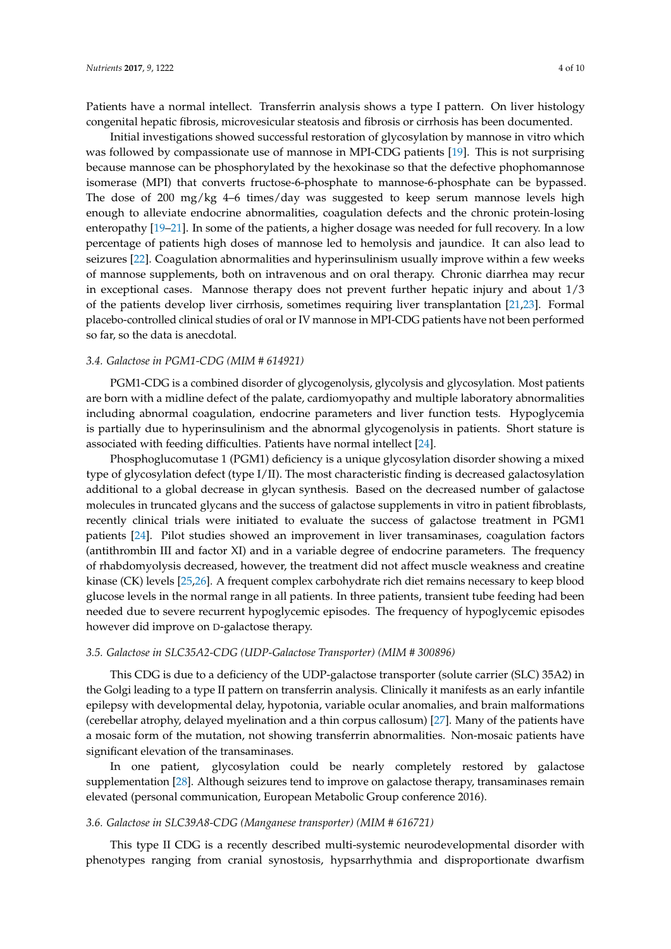Patients have a normal intellect. Transferrin analysis shows a type I pattern. On liver histology congenital hepatic fibrosis, microvesicular steatosis and fibrosis or cirrhosis has been documented.

Initial investigations showed successful restoration of glycosylation by mannose in vitro which was followed by compassionate use of mannose in MPI-CDG patients [\[19\]](#page-8-5). This is not surprising because mannose can be phosphorylated by the hexokinase so that the defective phophomannose isomerase (MPI) that converts fructose-6-phosphate to mannose-6-phosphate can be bypassed. The dose of 200 mg/kg 4–6 times/day was suggested to keep serum mannose levels high enough to alleviate endocrine abnormalities, coagulation defects and the chronic protein-losing enteropathy [\[19–](#page-8-5)[21\]](#page-8-6). In some of the patients, a higher dosage was needed for full recovery. In a low percentage of patients high doses of mannose led to hemolysis and jaundice. It can also lead to seizures [\[22\]](#page-8-7). Coagulation abnormalities and hyperinsulinism usually improve within a few weeks of mannose supplements, both on intravenous and on oral therapy. Chronic diarrhea may recur in exceptional cases. Mannose therapy does not prevent further hepatic injury and about 1/3 of the patients develop liver cirrhosis, sometimes requiring liver transplantation [\[21](#page-8-6)[,23\]](#page-8-8). Formal placebo-controlled clinical studies of oral or IV mannose in MPI-CDG patients have not been performed so far, so the data is anecdotal.

#### *3.4. Galactose in PGM1-CDG (MIM # 614921)*

PGM1-CDG is a combined disorder of glycogenolysis, glycolysis and glycosylation. Most patients are born with a midline defect of the palate, cardiomyopathy and multiple laboratory abnormalities including abnormal coagulation, endocrine parameters and liver function tests. Hypoglycemia is partially due to hyperinsulinism and the abnormal glycogenolysis in patients. Short stature is associated with feeding difficulties. Patients have normal intellect [\[24\]](#page-8-9).

Phosphoglucomutase 1 (PGM1) deficiency is a unique glycosylation disorder showing a mixed type of glycosylation defect (type I/II). The most characteristic finding is decreased galactosylation additional to a global decrease in glycan synthesis. Based on the decreased number of galactose molecules in truncated glycans and the success of galactose supplements in vitro in patient fibroblasts, recently clinical trials were initiated to evaluate the success of galactose treatment in PGM1 patients [\[24\]](#page-8-9). Pilot studies showed an improvement in liver transaminases, coagulation factors (antithrombin III and factor XI) and in a variable degree of endocrine parameters. The frequency of rhabdomyolysis decreased, however, the treatment did not affect muscle weakness and creatine kinase (CK) levels [\[25,](#page-8-10)[26\]](#page-8-11). A frequent complex carbohydrate rich diet remains necessary to keep blood glucose levels in the normal range in all patients. In three patients, transient tube feeding had been needed due to severe recurrent hypoglycemic episodes. The frequency of hypoglycemic episodes however did improve on D-galactose therapy.

#### *3.5. Galactose in SLC35A2-CDG (UDP-Galactose Transporter) (MIM # 300896)*

This CDG is due to a deficiency of the UDP-galactose transporter (solute carrier (SLC) 35A2) in the Golgi leading to a type II pattern on transferrin analysis. Clinically it manifests as an early infantile epilepsy with developmental delay, hypotonia, variable ocular anomalies, and brain malformations (cerebellar atrophy, delayed myelination and a thin corpus callosum) [\[27\]](#page-8-12). Many of the patients have a mosaic form of the mutation, not showing transferrin abnormalities. Non-mosaic patients have significant elevation of the transaminases.

In one patient, glycosylation could be nearly completely restored by galactose supplementation [\[28\]](#page-8-13). Although seizures tend to improve on galactose therapy, transaminases remain elevated (personal communication, European Metabolic Group conference 2016).

#### *3.6. Galactose in SLC39A8-CDG (Manganese transporter) (MIM # 616721)*

This type II CDG is a recently described multi-systemic neurodevelopmental disorder with phenotypes ranging from cranial synostosis, hypsarrhythmia and disproportionate dwarfism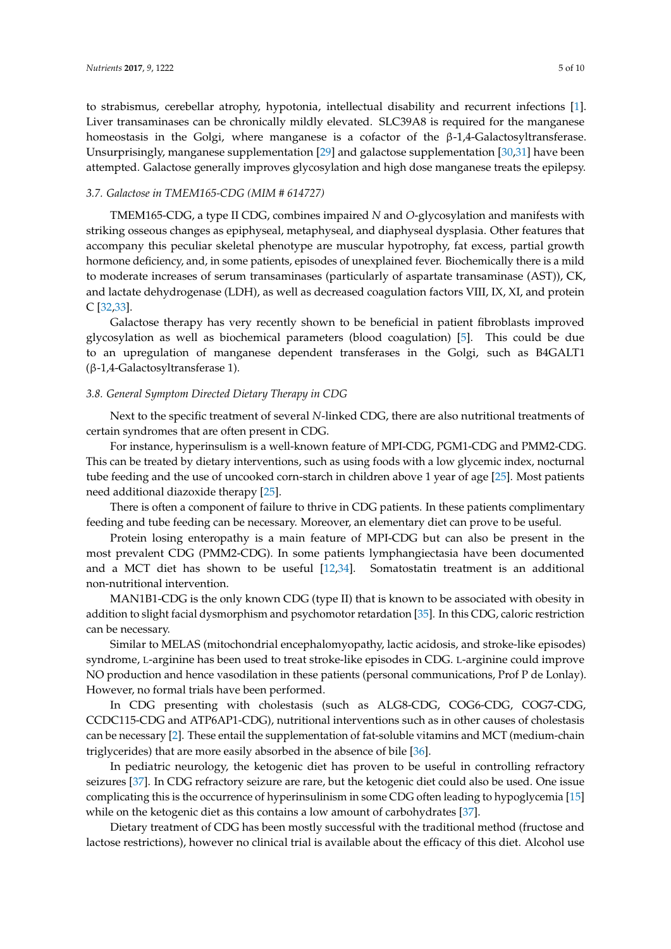to strabismus, cerebellar atrophy, hypotonia, intellectual disability and recurrent infections [\[1\]](#page-7-0). Liver transaminases can be chronically mildly elevated. SLC39A8 is required for the manganese homeostasis in the Golgi, where manganese is a cofactor of the β-1,4-Galactosyltransferase. Unsurprisingly, manganese supplementation [\[29\]](#page-8-14) and galactose supplementation [\[30,](#page-8-15)[31\]](#page-8-16) have been attempted. Galactose generally improves glycosylation and high dose manganese treats the epilepsy.

### *3.7. Galactose in TMEM165-CDG (MIM # 614727)*

TMEM165-CDG, a type II CDG, combines impaired *N* and *O*-glycosylation and manifests with striking osseous changes as epiphyseal, metaphyseal, and diaphyseal dysplasia. Other features that accompany this peculiar skeletal phenotype are muscular hypotrophy, fat excess, partial growth hormone deficiency, and, in some patients, episodes of unexplained fever. Biochemically there is a mild to moderate increases of serum transaminases (particularly of aspartate transaminase (AST)), CK, and lactate dehydrogenase (LDH), as well as decreased coagulation factors VIII, IX, XI, and protein C [\[32](#page-9-0)[,33\]](#page-9-1).

Galactose therapy has very recently shown to be beneficial in patient fibroblasts improved glycosylation as well as biochemical parameters (blood coagulation) [\[5\]](#page-7-4). This could be due to an upregulation of manganese dependent transferases in the Golgi, such as B4GALT1 (β-1,4-Galactosyltransferase 1).

#### *3.8. General Symptom Directed Dietary Therapy in CDG*

Next to the specific treatment of several *N*-linked CDG, there are also nutritional treatments of certain syndromes that are often present in CDG.

For instance, hyperinsulism is a well-known feature of MPI-CDG, PGM1-CDG and PMM2-CDG. This can be treated by dietary interventions, such as using foods with a low glycemic index, nocturnal tube feeding and the use of uncooked corn-starch in children above 1 year of age [\[25\]](#page-8-10). Most patients need additional diazoxide therapy [\[25\]](#page-8-10).

There is often a component of failure to thrive in CDG patients. In these patients complimentary feeding and tube feeding can be necessary. Moreover, an elementary diet can prove to be useful.

Protein losing enteropathy is a main feature of MPI-CDG but can also be present in the most prevalent CDG (PMM2-CDG). In some patients lymphangiectasia have been documented and a MCT diet has shown to be useful [\[12](#page-7-10)[,34\]](#page-9-2). Somatostatin treatment is an additional non-nutritional intervention.

MAN1B1-CDG is the only known CDG (type II) that is known to be associated with obesity in addition to slight facial dysmorphism and psychomotor retardation [\[35\]](#page-9-3). In this CDG, caloric restriction can be necessary.

Similar to MELAS (mitochondrial encephalomyopathy, lactic acidosis, and stroke-like episodes) syndrome, L-arginine has been used to treat stroke-like episodes in CDG. L-arginine could improve NO production and hence vasodilation in these patients (personal communications, Prof P de Lonlay). However, no formal trials have been performed.

In CDG presenting with cholestasis (such as ALG8-CDG, COG6-CDG, COG7-CDG, CCDC115-CDG and ATP6AP1-CDG), nutritional interventions such as in other causes of cholestasis can be necessary [\[2\]](#page-7-1). These entail the supplementation of fat-soluble vitamins and MCT (medium-chain triglycerides) that are more easily absorbed in the absence of bile [\[36\]](#page-9-4).

In pediatric neurology, the ketogenic diet has proven to be useful in controlling refractory seizures [\[37\]](#page-9-5). In CDG refractory seizure are rare, but the ketogenic diet could also be used. One issue complicating this is the occurrence of hyperinsulinism in some CDG often leading to hypoglycemia [\[15\]](#page-8-1) while on the ketogenic diet as this contains a low amount of carbohydrates [\[37\]](#page-9-5).

Dietary treatment of CDG has been mostly successful with the traditional method (fructose and lactose restrictions), however no clinical trial is available about the efficacy of this diet. Alcohol use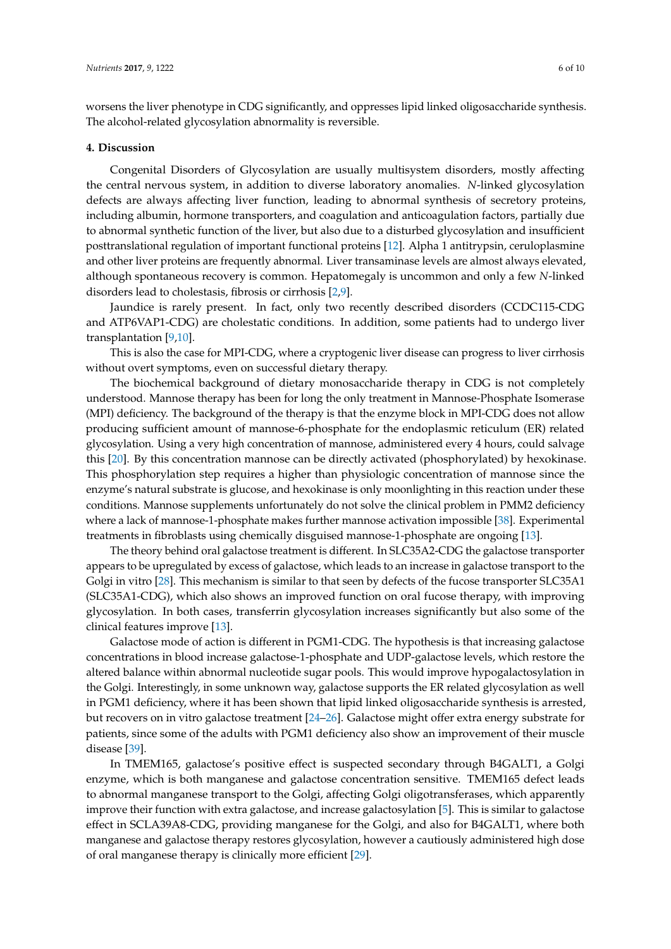worsens the liver phenotype in CDG significantly, and oppresses lipid linked oligosaccharide synthesis. The alcohol-related glycosylation abnormality is reversible.

#### **4. Discussion**

Congenital Disorders of Glycosylation are usually multisystem disorders, mostly affecting the central nervous system, in addition to diverse laboratory anomalies. *N*-linked glycosylation defects are always affecting liver function, leading to abnormal synthesis of secretory proteins, including albumin, hormone transporters, and coagulation and anticoagulation factors, partially due to abnormal synthetic function of the liver, but also due to a disturbed glycosylation and insufficient posttranslational regulation of important functional proteins [\[12\]](#page-7-10). Alpha 1 antitrypsin, ceruloplasmine and other liver proteins are frequently abnormal. Liver transaminase levels are almost always elevated, although spontaneous recovery is common. Hepatomegaly is uncommon and only a few *N*-linked disorders lead to cholestasis, fibrosis or cirrhosis [\[2](#page-7-1)[,9\]](#page-7-8).

Jaundice is rarely present. In fact, only two recently described disorders (CCDC115-CDG and ATP6VAP1-CDG) are cholestatic conditions. In addition, some patients had to undergo liver transplantation [\[9](#page-7-8)[,10\]](#page-7-12).

This is also the case for MPI-CDG, where a cryptogenic liver disease can progress to liver cirrhosis without overt symptoms, even on successful dietary therapy.

The biochemical background of dietary monosaccharide therapy in CDG is not completely understood. Mannose therapy has been for long the only treatment in Mannose-Phosphate Isomerase (MPI) deficiency. The background of the therapy is that the enzyme block in MPI-CDG does not allow producing sufficient amount of mannose-6-phosphate for the endoplasmic reticulum (ER) related glycosylation. Using a very high concentration of mannose, administered every 4 hours, could salvage this [\[20\]](#page-8-17). By this concentration mannose can be directly activated (phosphorylated) by hexokinase. This phosphorylation step requires a higher than physiologic concentration of mannose since the enzyme's natural substrate is glucose, and hexokinase is only moonlighting in this reaction under these conditions. Mannose supplements unfortunately do not solve the clinical problem in PMM2 deficiency where a lack of mannose-1-phosphate makes further mannose activation impossible [\[38\]](#page-9-6). Experimental treatments in fibroblasts using chemically disguised mannose-1-phosphate are ongoing [\[13\]](#page-7-11).

The theory behind oral galactose treatment is different. In SLC35A2-CDG the galactose transporter appears to be upregulated by excess of galactose, which leads to an increase in galactose transport to the Golgi in vitro [\[28\]](#page-8-13). This mechanism is similar to that seen by defects of the fucose transporter SLC35A1 (SLC35A1-CDG), which also shows an improved function on oral fucose therapy, with improving glycosylation. In both cases, transferrin glycosylation increases significantly but also some of the clinical features improve [\[13\]](#page-7-11).

Galactose mode of action is different in PGM1-CDG. The hypothesis is that increasing galactose concentrations in blood increase galactose-1-phosphate and UDP-galactose levels, which restore the altered balance within abnormal nucleotide sugar pools. This would improve hypogalactosylation in the Golgi. Interestingly, in some unknown way, galactose supports the ER related glycosylation as well in PGM1 deficiency, where it has been shown that lipid linked oligosaccharide synthesis is arrested, but recovers on in vitro galactose treatment [\[24](#page-8-9)[–26\]](#page-8-11). Galactose might offer extra energy substrate for patients, since some of the adults with PGM1 deficiency also show an improvement of their muscle disease [\[39\]](#page-9-7).

In TMEM165, galactose's positive effect is suspected secondary through B4GALT1, a Golgi enzyme, which is both manganese and galactose concentration sensitive. TMEM165 defect leads to abnormal manganese transport to the Golgi, affecting Golgi oligotransferases, which apparently improve their function with extra galactose, and increase galactosylation [\[5\]](#page-7-4). This is similar to galactose effect in SCLA39A8-CDG, providing manganese for the Golgi, and also for B4GALT1, where both manganese and galactose therapy restores glycosylation, however a cautiously administered high dose of oral manganese therapy is clinically more efficient [\[29\]](#page-8-14).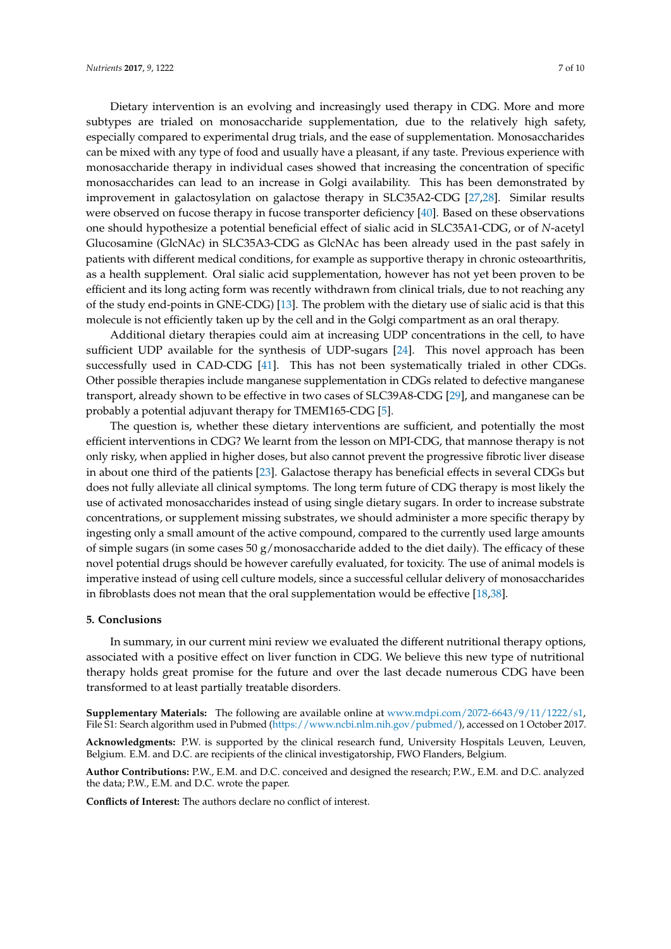Dietary intervention is an evolving and increasingly used therapy in CDG. More and more subtypes are trialed on monosaccharide supplementation, due to the relatively high safety, especially compared to experimental drug trials, and the ease of supplementation. Monosaccharides can be mixed with any type of food and usually have a pleasant, if any taste. Previous experience with monosaccharide therapy in individual cases showed that increasing the concentration of specific monosaccharides can lead to an increase in Golgi availability. This has been demonstrated by improvement in galactosylation on galactose therapy in SLC35A2-CDG [\[27](#page-8-12)[,28\]](#page-8-13). Similar results were observed on fucose therapy in fucose transporter deficiency [\[40\]](#page-9-8). Based on these observations one should hypothesize a potential beneficial effect of sialic acid in SLC35A1-CDG, or of *N*-acetyl Glucosamine (GlcNAc) in SLC35A3-CDG as GlcNAc has been already used in the past safely in patients with different medical conditions, for example as supportive therapy in chronic osteoarthritis, as a health supplement. Oral sialic acid supplementation, however has not yet been proven to be efficient and its long acting form was recently withdrawn from clinical trials, due to not reaching any of the study end-points in GNE-CDG) [\[13\]](#page-7-11). The problem with the dietary use of sialic acid is that this molecule is not efficiently taken up by the cell and in the Golgi compartment as an oral therapy.

Additional dietary therapies could aim at increasing UDP concentrations in the cell, to have sufficient UDP available for the synthesis of UDP-sugars [\[24\]](#page-8-9). This novel approach has been successfully used in CAD-CDG [\[41\]](#page-9-9). This has not been systematically trialed in other CDGs. Other possible therapies include manganese supplementation in CDGs related to defective manganese transport, already shown to be effective in two cases of SLC39A8-CDG [\[29\]](#page-8-14), and manganese can be probably a potential adjuvant therapy for TMEM165-CDG [\[5\]](#page-7-4).

The question is, whether these dietary interventions are sufficient, and potentially the most efficient interventions in CDG? We learnt from the lesson on MPI-CDG, that mannose therapy is not only risky, when applied in higher doses, but also cannot prevent the progressive fibrotic liver disease in about one third of the patients [\[23\]](#page-8-8). Galactose therapy has beneficial effects in several CDGs but does not fully alleviate all clinical symptoms. The long term future of CDG therapy is most likely the use of activated monosaccharides instead of using single dietary sugars. In order to increase substrate concentrations, or supplement missing substrates, we should administer a more specific therapy by ingesting only a small amount of the active compound, compared to the currently used large amounts of simple sugars (in some cases 50  $g/m$  onosaccharide added to the diet daily). The efficacy of these novel potential drugs should be however carefully evaluated, for toxicity. The use of animal models is imperative instead of using cell culture models, since a successful cellular delivery of monosaccharides in fibroblasts does not mean that the oral supplementation would be effective [\[18](#page-8-4)[,38\]](#page-9-6).

#### **5. Conclusions**

In summary, in our current mini review we evaluated the different nutritional therapy options, associated with a positive effect on liver function in CDG. We believe this new type of nutritional therapy holds great promise for the future and over the last decade numerous CDG have been transformed to at least partially treatable disorders.

**Supplementary Materials:** The following are available online at [www.mdpi.com/2072-6643/9/11/1222/s1,](www.mdpi.com/2072-6643/9/11/1222/s1) File S1: Search algorithm used in Pubmed [\(https://www.ncbi.nlm.nih.gov/pubmed/\)](https://www.ncbi.nlm.nih.gov/pubmed/), accessed on 1 October 2017.

**Acknowledgments:** P.W. is supported by the clinical research fund, University Hospitals Leuven, Leuven, Belgium. E.M. and D.C. are recipients of the clinical investigatorship, FWO Flanders, Belgium.

**Author Contributions:** P.W., E.M. and D.C. conceived and designed the research; P.W., E.M. and D.C. analyzed the data; P.W., E.M. and D.C. wrote the paper.

**Conflicts of Interest:** The authors declare no conflict of interest.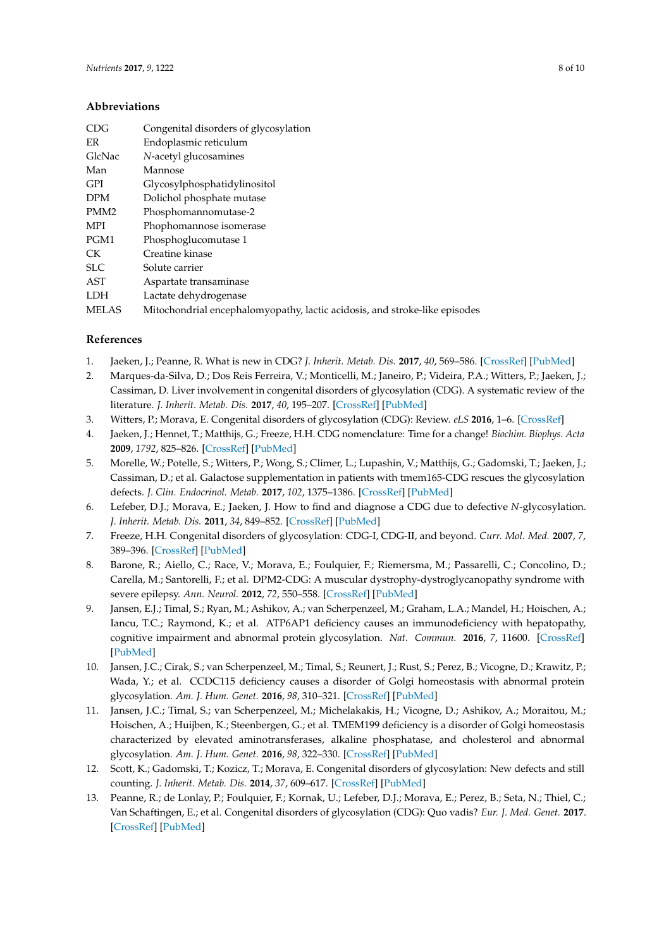## **Abbreviations**

| Congenital disorders of glycosylation                                      |
|----------------------------------------------------------------------------|
| Endoplasmic reticulum                                                      |
| N-acetyl glucosamines                                                      |
| Mannose                                                                    |
| Glycosylphosphatidylinositol                                               |
| Dolichol phosphate mutase                                                  |
| Phosphomannomutase-2                                                       |
| Phophomannose isomerase                                                    |
| Phosphoglucomutase 1                                                       |
| Creatine kinase                                                            |
| Solute carrier                                                             |
| Aspartate transaminase                                                     |
| Lactate dehydrogenase                                                      |
| Mitochondrial encephalomyopathy, lactic acidosis, and stroke-like episodes |
|                                                                            |

## **References**

- <span id="page-7-0"></span>1. Jaeken, J.; Peanne, R. What is new in CDG? *J. Inherit. Metab. Dis.* **2017**, *40*, 569–586. [\[CrossRef\]](http://dx.doi.org/10.1007/s10545-017-0050-6) [\[PubMed\]](http://www.ncbi.nlm.nih.gov/pubmed/28484880)
- <span id="page-7-1"></span>2. Marques-da-Silva, D.; Dos Reis Ferreira, V.; Monticelli, M.; Janeiro, P.; Videira, P.A.; Witters, P.; Jaeken, J.; Cassiman, D. Liver involvement in congenital disorders of glycosylation (CDG). A systematic review of the literature. *J. Inherit. Metab. Dis.* **2017**, *40*, 195–207. [\[CrossRef\]](http://dx.doi.org/10.1007/s10545-016-0012-4) [\[PubMed\]](http://www.ncbi.nlm.nih.gov/pubmed/28108845)
- <span id="page-7-2"></span>3. Witters, P.; Morava, E. Congenital disorders of glycosylation (CDG): Review. *eLS* **2016**, 1–6. [\[CrossRef\]](http://dx.doi.org/10.1002/9780470015902.a0026783)
- <span id="page-7-3"></span>4. Jaeken, J.; Hennet, T.; Matthijs, G.; Freeze, H.H. CDG nomenclature: Time for a change! *Biochim. Biophys. Acta* **2009**, *1792*, 825–826. [\[CrossRef\]](http://dx.doi.org/10.1016/j.bbadis.2009.08.005) [\[PubMed\]](http://www.ncbi.nlm.nih.gov/pubmed/19765534)
- <span id="page-7-4"></span>5. Morelle, W.; Potelle, S.; Witters, P.; Wong, S.; Climer, L.; Lupashin, V.; Matthijs, G.; Gadomski, T.; Jaeken, J.; Cassiman, D.; et al. Galactose supplementation in patients with tmem165-CDG rescues the glycosylation defects. *J. Clin. Endocrinol. Metab.* **2017**, *102*, 1375–1386. [\[CrossRef\]](http://dx.doi.org/10.1210/jc.2016-3443) [\[PubMed\]](http://www.ncbi.nlm.nih.gov/pubmed/28323990)
- <span id="page-7-5"></span>6. Lefeber, D.J.; Morava, E.; Jaeken, J. How to find and diagnose a CDG due to defective *N*-glycosylation. *J. Inherit. Metab. Dis.* **2011**, *34*, 849–852. [\[CrossRef\]](http://dx.doi.org/10.1007/s10545-011-9370-0) [\[PubMed\]](http://www.ncbi.nlm.nih.gov/pubmed/21739167)
- <span id="page-7-6"></span>7. Freeze, H.H. Congenital disorders of glycosylation: CDG-I, CDG-II, and beyond. *Curr. Mol. Med.* **2007**, *7*, 389–396. [\[CrossRef\]](http://dx.doi.org/10.2174/156652407780831548) [\[PubMed\]](http://www.ncbi.nlm.nih.gov/pubmed/17584079)
- <span id="page-7-7"></span>8. Barone, R.; Aiello, C.; Race, V.; Morava, E.; Foulquier, F.; Riemersma, M.; Passarelli, C.; Concolino, D.; Carella, M.; Santorelli, F.; et al. DPM2-CDG: A muscular dystrophy-dystroglycanopathy syndrome with severe epilepsy. *Ann. Neurol.* **2012**, *72*, 550–558. [\[CrossRef\]](http://dx.doi.org/10.1002/ana.23632) [\[PubMed\]](http://www.ncbi.nlm.nih.gov/pubmed/23109149)
- <span id="page-7-8"></span>9. Jansen, E.J.; Timal, S.; Ryan, M.; Ashikov, A.; van Scherpenzeel, M.; Graham, L.A.; Mandel, H.; Hoischen, A.; Iancu, T.C.; Raymond, K.; et al. ATP6AP1 deficiency causes an immunodeficiency with hepatopathy, cognitive impairment and abnormal protein glycosylation. *Nat. Commun.* **2016**, *7*, 11600. [\[CrossRef\]](http://dx.doi.org/10.1038/ncomms11600) [\[PubMed\]](http://www.ncbi.nlm.nih.gov/pubmed/27231034)
- <span id="page-7-12"></span>10. Jansen, J.C.; Cirak, S.; van Scherpenzeel, M.; Timal, S.; Reunert, J.; Rust, S.; Perez, B.; Vicogne, D.; Krawitz, P.; Wada, Y.; et al. CCDC115 deficiency causes a disorder of Golgi homeostasis with abnormal protein glycosylation. *Am. J. Hum. Genet.* **2016**, *98*, 310–321. [\[CrossRef\]](http://dx.doi.org/10.1016/j.ajhg.2015.12.010) [\[PubMed\]](http://www.ncbi.nlm.nih.gov/pubmed/26833332)
- <span id="page-7-9"></span>11. Jansen, J.C.; Timal, S.; van Scherpenzeel, M.; Michelakakis, H.; Vicogne, D.; Ashikov, A.; Moraitou, M.; Hoischen, A.; Huijben, K.; Steenbergen, G.; et al. TMEM199 deficiency is a disorder of Golgi homeostasis characterized by elevated aminotransferases, alkaline phosphatase, and cholesterol and abnormal glycosylation. *Am. J. Hum. Genet.* **2016**, *98*, 322–330. [\[CrossRef\]](http://dx.doi.org/10.1016/j.ajhg.2015.12.011) [\[PubMed\]](http://www.ncbi.nlm.nih.gov/pubmed/26833330)
- <span id="page-7-10"></span>12. Scott, K.; Gadomski, T.; Kozicz, T.; Morava, E. Congenital disorders of glycosylation: New defects and still counting. *J. Inherit. Metab. Dis.* **2014**, *37*, 609–617. [\[CrossRef\]](http://dx.doi.org/10.1007/s10545-014-9720-9) [\[PubMed\]](http://www.ncbi.nlm.nih.gov/pubmed/24831587)
- <span id="page-7-11"></span>13. Peanne, R.; de Lonlay, P.; Foulquier, F.; Kornak, U.; Lefeber, D.J.; Morava, E.; Perez, B.; Seta, N.; Thiel, C.; Van Schaftingen, E.; et al. Congenital disorders of glycosylation (CDG): Quo vadis? *Eur. J. Med. Genet.* **2017**. [\[CrossRef\]](http://dx.doi.org/10.1016/j.ejmg.2017.10.012) [\[PubMed\]](http://www.ncbi.nlm.nih.gov/pubmed/29079546)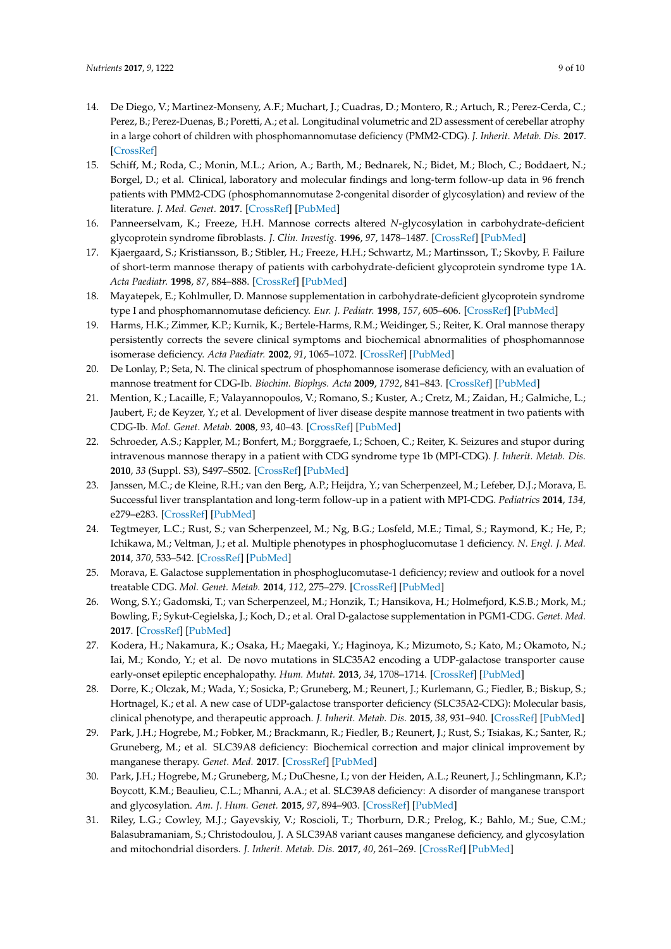- <span id="page-8-0"></span>14. De Diego, V.; Martinez-Monseny, A.F.; Muchart, J.; Cuadras, D.; Montero, R.; Artuch, R.; Perez-Cerda, C.; Perez, B.; Perez-Duenas, B.; Poretti, A.; et al. Longitudinal volumetric and 2D assessment of cerebellar atrophy in a large cohort of children with phosphomannomutase deficiency (PMM2-CDG). *J. Inherit. Metab. Dis.* **2017**. [\[CrossRef\]](http://dx.doi.org/10.1007/s10545-017-0028-4)
- <span id="page-8-1"></span>15. Schiff, M.; Roda, C.; Monin, M.L.; Arion, A.; Barth, M.; Bednarek, N.; Bidet, M.; Bloch, C.; Boddaert, N.; Borgel, D.; et al. Clinical, laboratory and molecular findings and long-term follow-up data in 96 french patients with PMM2-CDG (phosphomannomutase 2-congenital disorder of glycosylation) and review of the literature. *J. Med. Genet.* **2017**. [\[CrossRef\]](http://dx.doi.org/10.1136/jmedgenet-2017-104903) [\[PubMed\]](http://www.ncbi.nlm.nih.gov/pubmed/28954837)
- <span id="page-8-2"></span>16. Panneerselvam, K.; Freeze, H.H. Mannose corrects altered *N*-glycosylation in carbohydrate-deficient glycoprotein syndrome fibroblasts. *J. Clin. Investig.* **1996**, *97*, 1478–1487. [\[CrossRef\]](http://dx.doi.org/10.1172/JCI118570) [\[PubMed\]](http://www.ncbi.nlm.nih.gov/pubmed/8617881)
- <span id="page-8-3"></span>17. Kjaergaard, S.; Kristiansson, B.; Stibler, H.; Freeze, H.H.; Schwartz, M.; Martinsson, T.; Skovby, F. Failure of short-term mannose therapy of patients with carbohydrate-deficient glycoprotein syndrome type 1A. *Acta Paediatr.* **1998**, *87*, 884–888. [\[CrossRef\]](http://dx.doi.org/10.1111/j.1651-2227.1998.tb01556.x) [\[PubMed\]](http://www.ncbi.nlm.nih.gov/pubmed/9736238)
- <span id="page-8-4"></span>18. Mayatepek, E.; Kohlmuller, D. Mannose supplementation in carbohydrate-deficient glycoprotein syndrome type I and phosphomannomutase deficiency. *Eur. J. Pediatr.* **1998**, *157*, 605–606. [\[CrossRef\]](http://dx.doi.org/10.1007/s004310050889) [\[PubMed\]](http://www.ncbi.nlm.nih.gov/pubmed/9686827)
- <span id="page-8-5"></span>19. Harms, H.K.; Zimmer, K.P.; Kurnik, K.; Bertele-Harms, R.M.; Weidinger, S.; Reiter, K. Oral mannose therapy persistently corrects the severe clinical symptoms and biochemical abnormalities of phosphomannose isomerase deficiency. *Acta Paediatr.* **2002**, *91*, 1065–1072. [\[CrossRef\]](http://dx.doi.org/10.1111/j.1651-2227.2002.tb00101.x) [\[PubMed\]](http://www.ncbi.nlm.nih.gov/pubmed/12434892)
- <span id="page-8-17"></span>20. De Lonlay, P.; Seta, N. The clinical spectrum of phosphomannose isomerase deficiency, with an evaluation of mannose treatment for CDG-Ib. *Biochim. Biophys. Acta* **2009**, *1792*, 841–843. [\[CrossRef\]](http://dx.doi.org/10.1016/j.bbadis.2008.11.012) [\[PubMed\]](http://www.ncbi.nlm.nih.gov/pubmed/19101627)
- <span id="page-8-6"></span>21. Mention, K.; Lacaille, F.; Valayannopoulos, V.; Romano, S.; Kuster, A.; Cretz, M.; Zaidan, H.; Galmiche, L.; Jaubert, F.; de Keyzer, Y.; et al. Development of liver disease despite mannose treatment in two patients with CDG-Ib. *Mol. Genet. Metab.* **2008**, *93*, 40–43. [\[CrossRef\]](http://dx.doi.org/10.1016/j.ymgme.2007.08.126) [\[PubMed\]](http://www.ncbi.nlm.nih.gov/pubmed/17945525)
- <span id="page-8-7"></span>22. Schroeder, A.S.; Kappler, M.; Bonfert, M.; Borggraefe, I.; Schoen, C.; Reiter, K. Seizures and stupor during intravenous mannose therapy in a patient with CDG syndrome type 1b (MPI-CDG). *J. Inherit. Metab. Dis.* **2010**, *33* (Suppl. S3), S497–S502. [\[CrossRef\]](http://dx.doi.org/10.1007/s10545-010-9252-x) [\[PubMed\]](http://www.ncbi.nlm.nih.gov/pubmed/21240668)
- <span id="page-8-8"></span>23. Janssen, M.C.; de Kleine, R.H.; van den Berg, A.P.; Heijdra, Y.; van Scherpenzeel, M.; Lefeber, D.J.; Morava, E. Successful liver transplantation and long-term follow-up in a patient with MPI-CDG. *Pediatrics* **2014**, *134*, e279–e283. [\[CrossRef\]](http://dx.doi.org/10.1542/peds.2013-2732) [\[PubMed\]](http://www.ncbi.nlm.nih.gov/pubmed/24982104)
- <span id="page-8-9"></span>24. Tegtmeyer, L.C.; Rust, S.; van Scherpenzeel, M.; Ng, B.G.; Losfeld, M.E.; Timal, S.; Raymond, K.; He, P.; Ichikawa, M.; Veltman, J.; et al. Multiple phenotypes in phosphoglucomutase 1 deficiency. *N. Engl. J. Med.* **2014**, *370*, 533–542. [\[CrossRef\]](http://dx.doi.org/10.1056/NEJMoa1206605) [\[PubMed\]](http://www.ncbi.nlm.nih.gov/pubmed/24499211)
- <span id="page-8-10"></span>25. Morava, E. Galactose supplementation in phosphoglucomutase-1 deficiency; review and outlook for a novel treatable CDG. *Mol. Genet. Metab.* **2014**, *112*, 275–279. [\[CrossRef\]](http://dx.doi.org/10.1016/j.ymgme.2014.06.002) [\[PubMed\]](http://www.ncbi.nlm.nih.gov/pubmed/24997537)
- <span id="page-8-11"></span>26. Wong, S.Y.; Gadomski, T.; van Scherpenzeel, M.; Honzik, T.; Hansikova, H.; Holmefjord, K.S.B.; Mork, M.; Bowling, F.; Sykut-Cegielska, J.; Koch, D.; et al. Oral D-galactose supplementation in PGM1-CDG. *Genet. Med.* **2017**. [\[CrossRef\]](http://dx.doi.org/10.1038/gim.2017.41) [\[PubMed\]](http://www.ncbi.nlm.nih.gov/pubmed/28617415)
- <span id="page-8-12"></span>27. Kodera, H.; Nakamura, K.; Osaka, H.; Maegaki, Y.; Haginoya, K.; Mizumoto, S.; Kato, M.; Okamoto, N.; Iai, M.; Kondo, Y.; et al. De novo mutations in SLC35A2 encoding a UDP-galactose transporter cause early-onset epileptic encephalopathy. *Hum. Mutat.* **2013**, *34*, 1708–1714. [\[CrossRef\]](http://dx.doi.org/10.1002/humu.22446) [\[PubMed\]](http://www.ncbi.nlm.nih.gov/pubmed/24115232)
- <span id="page-8-13"></span>28. Dorre, K.; Olczak, M.; Wada, Y.; Sosicka, P.; Gruneberg, M.; Reunert, J.; Kurlemann, G.; Fiedler, B.; Biskup, S.; Hortnagel, K.; et al. A new case of UDP-galactose transporter deficiency (SLC35A2-CDG): Molecular basis, clinical phenotype, and therapeutic approach. *J. Inherit. Metab. Dis.* **2015**, *38*, 931–940. [\[CrossRef\]](http://dx.doi.org/10.1007/s10545-015-9828-6) [\[PubMed\]](http://www.ncbi.nlm.nih.gov/pubmed/25778940)
- <span id="page-8-14"></span>29. Park, J.H.; Hogrebe, M.; Fobker, M.; Brackmann, R.; Fiedler, B.; Reunert, J.; Rust, S.; Tsiakas, K.; Santer, R.; Gruneberg, M.; et al. SLC39A8 deficiency: Biochemical correction and major clinical improvement by manganese therapy. *Genet. Med.* **2017**. [\[CrossRef\]](http://dx.doi.org/10.1038/gim.2017.106) [\[PubMed\]](http://www.ncbi.nlm.nih.gov/pubmed/28749473)
- <span id="page-8-15"></span>30. Park, J.H.; Hogrebe, M.; Gruneberg, M.; DuChesne, I.; von der Heiden, A.L.; Reunert, J.; Schlingmann, K.P.; Boycott, K.M.; Beaulieu, C.L.; Mhanni, A.A.; et al. SLC39A8 deficiency: A disorder of manganese transport and glycosylation. *Am. J. Hum. Genet.* **2015**, *97*, 894–903. [\[CrossRef\]](http://dx.doi.org/10.1016/j.ajhg.2015.11.003) [\[PubMed\]](http://www.ncbi.nlm.nih.gov/pubmed/26637979)
- <span id="page-8-16"></span>31. Riley, L.G.; Cowley, M.J.; Gayevskiy, V.; Roscioli, T.; Thorburn, D.R.; Prelog, K.; Bahlo, M.; Sue, C.M.; Balasubramaniam, S.; Christodoulou, J. A SLC39A8 variant causes manganese deficiency, and glycosylation and mitochondrial disorders. *J. Inherit. Metab. Dis.* **2017**, *40*, 261–269. [\[CrossRef\]](http://dx.doi.org/10.1007/s10545-016-0010-6) [\[PubMed\]](http://www.ncbi.nlm.nih.gov/pubmed/27995398)